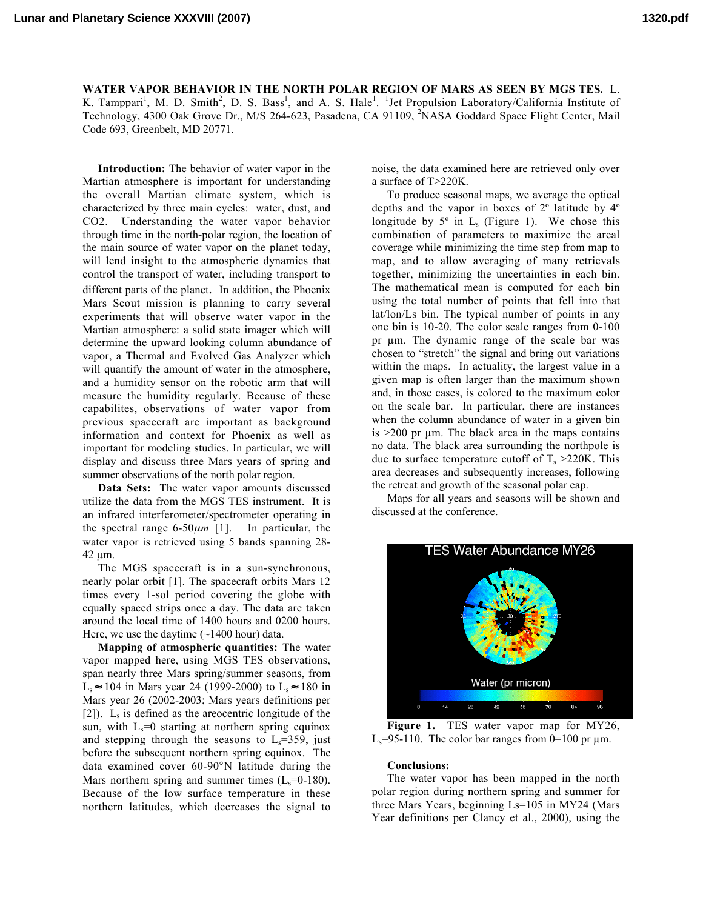WATER VAPOR BEHAVIOR IN THE NORTH POLAR REGION OF MARS AS SEEN BY MGS TES. L. K. Tamppari<sup>1</sup>, M. D. Smith<sup>2</sup>, D. S. Bass<sup>1</sup>, and A. S. Hale<sup>1</sup>. <sup>1</sup>Jet Propulsion Laboratory/California Institute of Technology, 4300 Oak Grove Dr., M/S 264-623, Pasadena, CA 91109, <sup>2</sup>NASA Goddard Space Flight Center, Mail Code 693, Greenbelt, MD 20771.

Introduction: The behavior of water vapor in the Martian atmosphere is important for understanding the overall Martian climate system, which is characterized by three main cycles: water, dust, and CO2. Understanding the water vapor behavior through time in the north-polar region, the location of the main source of water vapor on the planet today, will lend insight to the atmospheric dynamics that control the transport of water, including transport to different parts of the planet. In addition, the Phoenix Mars Scout mission is planning to carry several experiments that will observe water vapor in the Martian atmosphere: a solid state imager which will determine the upward looking column abundance of vapor, a Thermal and Evolved Gas Analyzer which will quantify the amount of water in the atmosphere, and a humidity sensor on the robotic arm that will measure the humidity regularly. Because of these capabilites, observations of water vapor from previous spacecraft are important as background information and context for Phoenix as well as important for modeling studies. In particular, we will display and discuss three Mars years of spring and summer observations of the north polar region.

Data Sets: The water vapor amounts discussed utilize the data from the MGS TES instrument. It is an infrared interferometer/spectrometer operating in the spectral range  $6-50\mu m$  [1]. In particular, the water vapor is retrieved using 5 bands spanning 28- 42 µm.

The MGS spacecraft is in a sun-synchronous, nearly polar orbit [1]. The spacecraft orbits Mars 12 times every 1-sol period covering the globe with equally spaced strips once a day. The data are taken around the local time of 1400 hours and 0200 hours. Here, we use the daytime  $(\sim 1400$  hour) data.

Mapping of atmospheric quantities: The water vapor mapped here, using MGS TES observations, span nearly three Mars spring/summer seasons, from L<sub>s</sub> ≈ 104 in Mars year 24 (1999-2000) to L<sub>s</sub> ≈ 180 in Mars year 26 (2002-2003; Mars years definitions per [2]).  $L<sub>s</sub>$  is defined as the areocentric longitude of the sun, with  $L_s=0$  starting at northern spring equinox and stepping through the seasons to  $L_s = 359$ , just before the subsequent northern spring equinox. The data examined cover 60-90°N latitude during the Mars northern spring and summer times  $(L_s=0-180)$ . Because of the low surface temperature in these northern latitudes, which decreases the signal to noise, the data examined here are retrieved only over a surface of T>220K.

To produce seasonal maps, we average the optical depths and the vapor in boxes of 2º latitude by 4º longitude by  $5^\circ$  in  $L_s$  (Figure 1). We chose this combination of parameters to maximize the areal coverage while minimizing the time step from map to map, and to allow averaging of many retrievals together, minimizing the uncertainties in each bin. The mathematical mean is computed for each bin using the total number of points that fell into that lat/lon/Ls bin. The typical number of points in any one bin is 10-20. The color scale ranges from 0-100 pr µm. The dynamic range of the scale bar was chosen to "stretch" the signal and bring out variations within the maps. In actuality, the largest value in a given map is often larger than the maximum shown and, in those cases, is colored to the maximum color on the scale bar. In particular, there are instances when the column abundance of water in a given bin is  $>200$  pr  $\mu$ m. The black area in the maps contains no data. The black area surrounding the northpole is due to surface temperature cutoff of  $T_s > 220$ K. This area decreases and subsequently increases, following the retreat and growth of the seasonal polar cap.

Maps for all years and seasons will be shown and discussed at the conference.



Figure 1. TES water vapor map for MY26,  $L<sub>s</sub>=95-110$ . The color bar ranges from 0=100 pr  $\mu$ m.

## Conclusions:

The water vapor has been mapped in the north polar region during northern spring and summer for three Mars Years, beginning Ls=105 in MY24 (Mars Year definitions per Clancy et al., 2000), using the